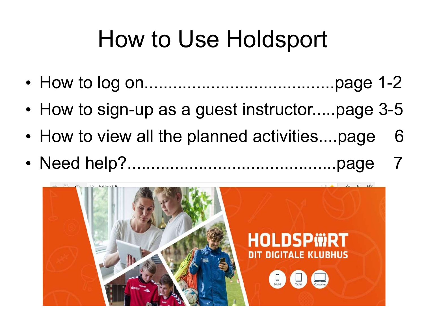### How to Use Holdsport

- How to log on........................................page 1-2
- How to sign-up as a guest instructor.....page 3-5
- How to view all the planned activities....page 6
- Need help?............................................page 7

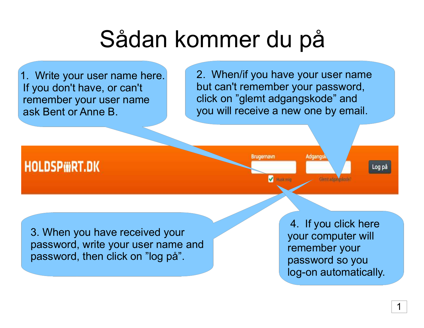# Sådan kommer du på

1. Write your user name here. If you don't have, or can't remember your user name ask Bent or Anne B.

2. When/if you have your user name but can't remember your password, click on "glemt adgangskode" and you will receive a new one by email.

**Brugernavn** 

**HOLDSPWRT.DK** 

Husk mig

**Adgangs** 

Log på

3. When you have received your password, write your user name and password, then click on "log på".

4. If you click here your computer will remember your password so you log-on automatically.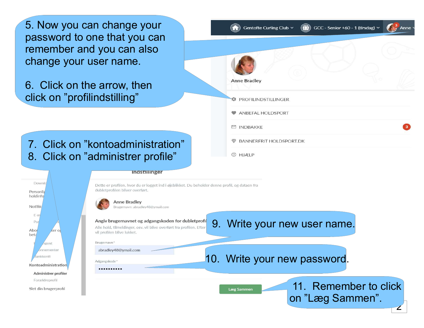password to one that you can remember and you can also change your user name. 5. Now you can change your

6. Click on the arrow, then klik på "profilindstilling" click on "profilindstilling"

7. Klik på "kontoadministration" 7. Click on "kontoadministration" 8. Klik på "administrer profile" 8. Click on "administrer profile"

| Anne Bradley                               |
|--------------------------------------------|
| <b>PROFILINDSTILLINGER</b>                 |
| ANBEFAL HOLDSPORT                          |
| □ INDBAKKE                                 |
| <b>BANNERFRIT HOLDSPORT.DK</b><br>$\oplus$ |
| 2 HJÆLP                                    |



**Indstillinger** 

Dette er profilen, hvor du er logget ind i øjeblikket. Du beholder denne profil, og dataen fra dubletprofilen bliver overført.

**Anne Bradley** Brugernavn: abradley48@ymail.com

#### Angiv brugernavnet og adgangskoden for dubletprofil 9. Write your new uSer name.

Alle hold, tilmeldinger, osv. vil blive overført fra profilen. Efter vil profilen blive lukket.

Brugernavn\* abradlev48@vmail.com

Adgangskode\*

..........

10. Write your new password.

Læg Sammen

 11. Remember to click on "Læg Sammen".

2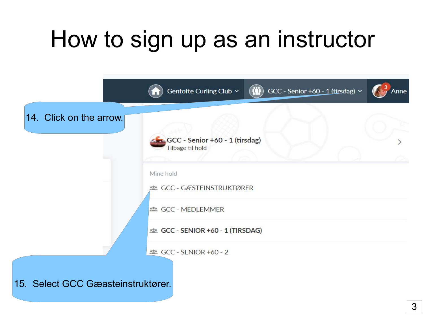## How to sign up as an instructor

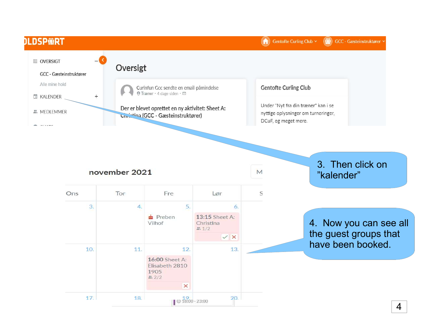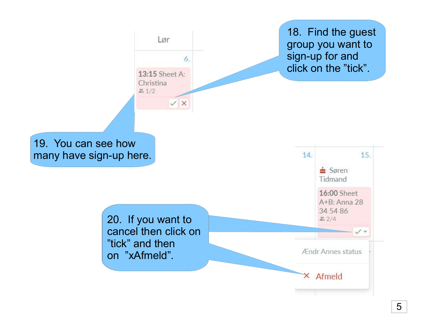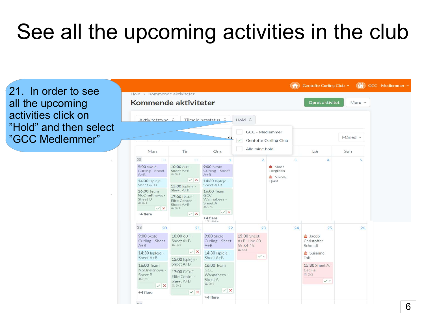#### See all the upcoming activities in the club

21. In order to see All the upcoming all the upcoming Activities click on activities click on"Hold" and then select "GCC Medlemmer"

|                                                                               | Kommende aktiviteter                                                                                                      |                                                      | Opret aktivitet<br>Mere $\sim$                  |                                                         |         |                                                    |     |
|-------------------------------------------------------------------------------|---------------------------------------------------------------------------------------------------------------------------|------------------------------------------------------|-------------------------------------------------|---------------------------------------------------------|---------|----------------------------------------------------|-----|
|                                                                               |                                                                                                                           | Aktivitetstype C   Tilmeldingsstatus C   Hold C      |                                                 |                                                         |         |                                                    |     |
| s                                                                             |                                                                                                                           |                                                      | GCC - Medlemmer<br><b>Gentofte Curling Club</b> |                                                         | Måned v |                                                    |     |
| Man                                                                           | Tir                                                                                                                       | Ons                                                  | Alle mine hold                                  |                                                         |         | Lør                                                | Søn |
| 35<br>30.                                                                     | 31.                                                                                                                       | $\mathbf{1}$ .                                       | $\overline{2}$ .                                |                                                         | 3.      | 4.                                                 | 5.  |
| 9:00 Skole<br>Curling - Sheet<br>$A + B$                                      | $10:0060+ -$<br>Sheet A+B<br>22.0/1                                                                                       | 9:00 Skole<br>Curling - Sheet<br>$A+B$               |                                                 | $\triangle$ Mads<br>Løvgreen<br>Nikolaj<br><b>Qvist</b> |         |                                                    |     |
| 14:30 Ispleje -<br>Sheet A+B                                                  | $\vee$ X<br>15:00 Ispleje -<br>Sheet A+B<br>17:00 DCuF<br>Elite Center -<br>Sheet A+B<br>$\frac{32}{200}$ 0/1<br>$\vee$ X | 14:30 Ispleje -<br>Sheet A+B                         |                                                 |                                                         |         |                                                    |     |
| 16:00 Team<br>NoOneKnows -<br>Sheet B<br>22.0/1<br>$\checkmark$ x<br>+4 flere |                                                                                                                           | 16:00 Team<br>GCC<br>Wannabees -<br>Sheet A<br>2.0/1 |                                                 |                                                         |         |                                                    |     |
|                                                                               |                                                                                                                           | $\vee$ X                                             |                                                 |                                                         |         |                                                    |     |
|                                                                               |                                                                                                                           | +4 flere<br>$   -$                                   |                                                 |                                                         |         |                                                    |     |
| 38<br>20.                                                                     | 21.                                                                                                                       | 22.                                                  | 23.                                             |                                                         | 24.     | 25.                                                | 26. |
| 9:00 Skole<br>Curling - Sheet<br>$A + B$                                      | $10:0060+ -$<br>Sheet A+B<br>2.0/1                                                                                        | 9:00 Skole<br>Curling - Sheet<br>$A + B$             | <b>15:00 Sheet</b><br>A+B: Line 33<br>55 84 45  |                                                         |         | $\frac{1}{2}$ Jacob<br>Christoffer<br>Schmidt      |     |
| 14:30 Ispleie -                                                               | $\vee$ X                                                                                                                  | 14:30 Ispleie -<br>Sheet A+B                         | 2.4/4                                           |                                                         |         | $\frac{1}{22}$ Susanne                             |     |
| Sheet A+B                                                                     | 15:00 Ispleje -                                                                                                           |                                                      | $\checkmark$                                    |                                                         |         | Toft                                               |     |
| 16:00 Team<br>NoOneKnows -<br>Sheet B<br><b>2.0/1</b><br>VX                   | Sheet A+B<br>17:00 DCuF<br>Elite Center -<br>Sheet A+B<br>$\frac{35}{200}$ 0/1                                            | 16:00 Team<br>GCC<br>Wannabees -<br>Sheet A<br>2.0/1 |                                                 |                                                         |         | 15:30 Sheet A:<br>Cecilie<br>2/2<br>$\checkmark$ + |     |
| +4 flere                                                                      | $\vee$ X                                                                                                                  | $\checkmark$ X                                       |                                                 |                                                         |         |                                                    |     |
|                                                                               |                                                                                                                           | +4 flere                                             |                                                 |                                                         |         |                                                    |     |